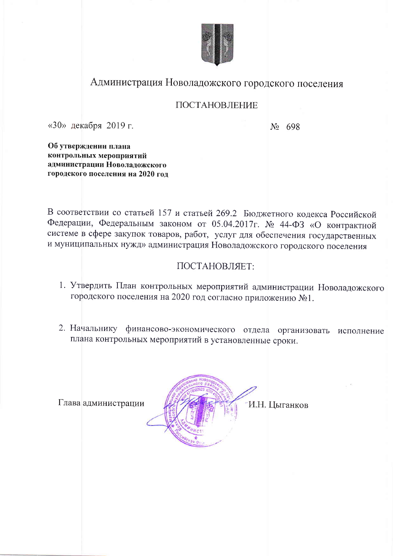

# Администрация Новоладожского городского поселения

### ПОСТАНОВЛЕНИЕ

«30» декабря 2019 г.

No 698

Об утверждении плана контрольных мероприятий администрации Новоладожского городского поселения на 2020 год

В соответствии со статьей 157 и статьей 269.2 Бюджетного кодекса Российской Федерации, Федеральным законом от 05.04.2017г. № 44-ФЗ «О контрактной системе в сфере закупок товаров, работ, услуг для обеспечения государственных и муниципальных нужд» администрация Новоладожского городского поселения

## ПОСТАНОВЛЯЕТ:

- 1. Утвердить План контрольных мероприятий администрации Новоладожского городского поселения на 2020 год согласно приложению №1.
- 2. Начальнику финансово-экономического отдела организовать исполнение плана контрольных мероприятий в установленные сроки.

Глава администрации

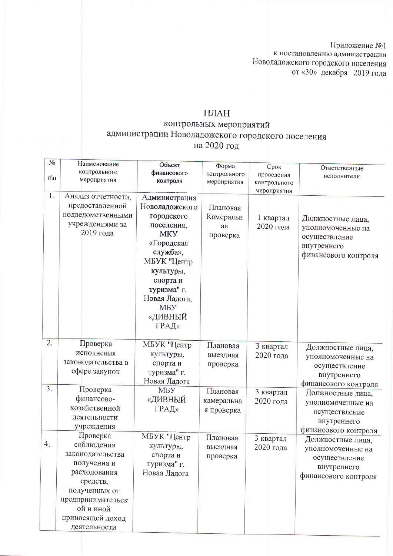Приложение №1<br>к постановлению администрации Новоладожского городского поселения от «30» декабря 2019 года

### ПЛАН

# контрольных мероприятий<br>администрации Новоладожского городского поселения на 2020 год

| $N_2$<br>$\Pi\backslash\Pi$ | Наименование<br>контрольного<br>мероприятия                                                                                                                                  | Объект<br>финансового<br>контроля                                                                                                                                                                             | Форма<br>контрольного<br>мероприятия    | Срок<br>проведения<br>контрольного    | Ответственные<br>исполнители                                                                   |
|-----------------------------|------------------------------------------------------------------------------------------------------------------------------------------------------------------------------|---------------------------------------------------------------------------------------------------------------------------------------------------------------------------------------------------------------|-----------------------------------------|---------------------------------------|------------------------------------------------------------------------------------------------|
| L.                          | Анализ отчетности,<br>предоставленной<br>подведомственными<br>учреждениями за<br>2019 года                                                                                   | Администрация<br>Новоладожского<br>городского<br>поселения,<br><b>MKY</b><br>«Городская<br>служба»,<br>МБУК "Центр<br>культуры,<br>спорта и<br>туризма" г.<br>Новая Ладога,<br><b>MBY</b><br>«ДИВНЫЙ<br>ГРАД» | Плановая<br>Камеральн<br>aя<br>проверка | мероприятия<br>1 квартал<br>2020 года | Должностные лица,<br>уполномоченные на<br>осуществление<br>внутреннего<br>финансового контроля |
| $\overline{2}$ .            | Проверка<br>исполнения<br>законодательства в<br>сфере закупок                                                                                                                | МБУК "Центр<br>культуры,<br>спорта и<br>туризма" г.<br>Новая Ладога                                                                                                                                           | Плановая<br>выездная<br>проверка        | 3 квартал<br>2020 года                | Должностные лица,<br>уполномоченные на<br>осуществление<br>внутреннего<br>финансового контроля |
| $\overline{3}$ .            | Проверка<br>финансово-<br>хозяйственной<br>деятельности<br>учреждения                                                                                                        | МБУ<br>«ДИВНЫЙ<br>ГРАД»                                                                                                                                                                                       | Плановая<br>камеральна<br>я проверка    | 3 квартал<br>2020 года                | Должностные лица,<br>уполномоченные на<br>осуществление<br>внутреннего<br>финансового контроля |
| 4.                          | Проверка<br>соблюдения<br>законодательства<br>получения и<br>расходования<br>средств,<br>полученных от<br>предпринимательск<br>ой и иной<br>приносящей доход<br>деятельности | МБУК "Центр<br>культуры,<br>спорта и<br>туризма" г.<br>Новая Ладога                                                                                                                                           | Плановая<br>выездная<br>проверка        | 3 квартал<br>2020 года                | Должностные лица,<br>уполномоченные на<br>осуществление<br>внутреннего<br>финансового контроля |